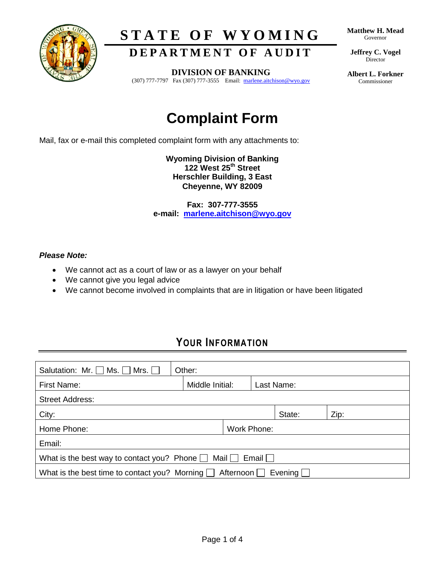

# **S T A T E O F W Y O M I N G**

**DEPARTMENT OF AUDIT** 

**Matthew H. Mead** Governor

**Jeffrey C. Vogel** Director

**DIVISION OF BANKING**

(307) 777-7797 Fax (307) 777-3555 Email: marlene.aitchison@wyo.gov

**Albert L. Forkner** Commissioner

# **Complaint Form**

Mail, fax or e-mail this completed complaint form with any attachments to:

**Wyoming Division of Banking 122 West 25th Street Herschler Building, 3 East Cheyenne, WY 82009**

**Fax: 307-777-3555 e-mail: [marlene.aitchison@wyo.gov](mailto:marlene.aitchison@wyo.gov)**

#### *Please Note:*

- We cannot act as a court of law or as a lawyer on your behalf
- We cannot give you legal advice
- We cannot become involved in complaints that are in litigation or have been litigated

### **YOUR INFORMATION**

| Salutation: Mr. $\Box$ Ms. $\Box$ Mrs. $\Box$<br>Other:                              |                 |  |             |        |      |  |  |
|--------------------------------------------------------------------------------------|-----------------|--|-------------|--------|------|--|--|
| First Name:                                                                          | Middle Initial: |  | Last Name:  |        |      |  |  |
| <b>Street Address:</b>                                                               |                 |  |             |        |      |  |  |
| City:                                                                                |                 |  |             | State: | Zip: |  |  |
| Home Phone:                                                                          |                 |  | Work Phone: |        |      |  |  |
| Email:                                                                               |                 |  |             |        |      |  |  |
| What is the best way to contact you? Phone $\Box$ Mail $\Box$<br>Email               |                 |  |             |        |      |  |  |
| What is the best time to contact you? Morning $\Box$ Afternoon $\Box$ Evening $\Box$ |                 |  |             |        |      |  |  |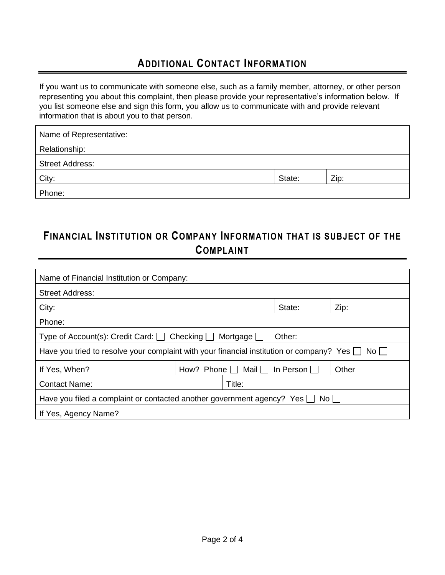#### **ADDITIONAL CONTACT INFORMATION**

If you want us to communicate with someone else, such as a family member, attorney, or other person representing you about this complaint, then please provide your representative's information below. If you list someone else and sign this form, you allow us to communicate with and provide relevant information that is about you to that person.

| Name of Representative: |        |      |  |  |  |  |
|-------------------------|--------|------|--|--|--|--|
| Relationship:           |        |      |  |  |  |  |
| <b>Street Address:</b>  |        |      |  |  |  |  |
| City:                   | State: | Zip: |  |  |  |  |
| Phone:                  |        |      |  |  |  |  |

#### **FINANCIAL INSTITUTION OR COMPANY INFORMATION THAT IS SUBJECT OF THE COMPLAINT**

| Name of Financial Institution or Company:                                                                 |  |                               |                              |       |  |  |  |
|-----------------------------------------------------------------------------------------------------------|--|-------------------------------|------------------------------|-------|--|--|--|
| <b>Street Address:</b>                                                                                    |  |                               |                              |       |  |  |  |
| City:                                                                                                     |  |                               | State:                       | Zip:  |  |  |  |
| Phone:                                                                                                    |  |                               |                              |       |  |  |  |
| Type of Account(s): Credit Card: $\Box$ Checking $\Box$<br>Mortgage $\Box$<br>Other:                      |  |                               |                              |       |  |  |  |
| Have you tried to resolve your complaint with your financial institution or company? Yes $\Box$ No $\Box$ |  |                               |                              |       |  |  |  |
| If Yes, When?                                                                                             |  | How? Phone $\Box$ Mail $\Box$ | $\ln$ Person $\vert \ \vert$ | Other |  |  |  |
| <b>Contact Name:</b>                                                                                      |  | Title:                        |                              |       |  |  |  |
| Have you filed a complaint or contacted another government agency? Yes $\Box$<br>No l                     |  |                               |                              |       |  |  |  |
| If Yes, Agency Name?                                                                                      |  |                               |                              |       |  |  |  |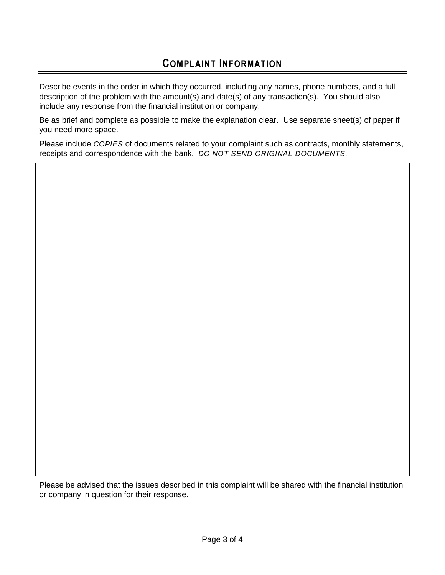#### **COMPLAINT INFORMATION**

Describe events in the order in which they occurred, including any names, phone numbers, and a full description of the problem with the amount(s) and date(s) of any transaction(s). You should also include any response from the financial institution or company.

Be as brief and complete as possible to make the explanation clear. Use separate sheet(s) of paper if you need more space.

Please include *COPIES* of documents related to your complaint such as contracts, monthly statements, receipts and correspondence with the bank. *DO NOT SEND ORIGINAL DOCUMENTS.*

Please be advised that the issues described in this complaint will be shared with the financial institution or company in question for their response.